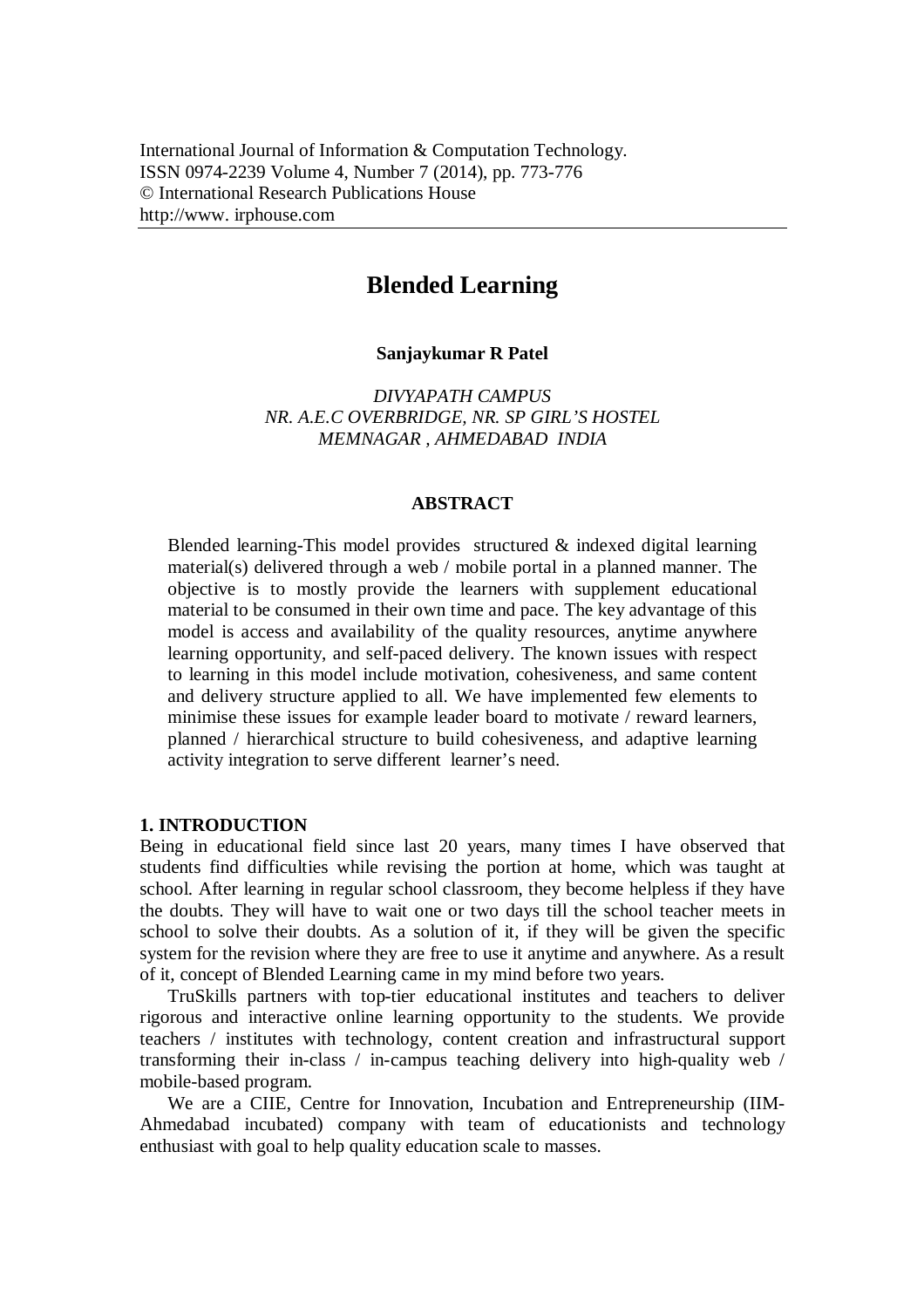# **Blended Learning**

#### **Sanjaykumar R Patel**

*DIVYAPATH CAMPUS NR. A.E.C OVERBRIDGE, NR. SP GIRL'S HOSTEL MEMNAGAR , AHMEDABAD INDIA*

# **ABSTRACT**

Blended learning-This model provides structured & indexed digital learning material(s) delivered through a web / mobile portal in a planned manner. The objective is to mostly provide the learners with supplement educational material to be consumed in their own time and pace. The key advantage of this model is access and availability of the quality resources, anytime anywhere learning opportunity, and self-paced delivery. The known issues with respect to learning in this model include motivation, cohesiveness, and same content and delivery structure applied to all. We have implemented few elements to minimise these issues for example leader board to motivate / reward learners, planned / hierarchical structure to build cohesiveness, and adaptive learning activity integration to serve different learner's need.

### **1. INTRODUCTION**

Being in educational field since last 20 years, many times I have observed that students find difficulties while revising the portion at home, which was taught at school. After learning in regular school classroom, they become helpless if they have the doubts. They will have to wait one or two days till the school teacher meets in school to solve their doubts. As a solution of it, if they will be given the specific system for the revision where they are free to use it anytime and anywhere. As a result of it, concept of Blended Learning came in my mind before two years.

TruSkills partners with top-tier educational institutes and teachers to deliver rigorous and interactive online learning opportunity to the students. We provide teachers / institutes with technology, content creation and infrastructural support transforming their in-class / in-campus teaching delivery into high-quality web / mobile-based program.

We are a CIIE, Centre for Innovation, Incubation and Entrepreneurship (IIM-Ahmedabad incubated) company with team of educationists and technology enthusiast with goal to help quality education scale to masses.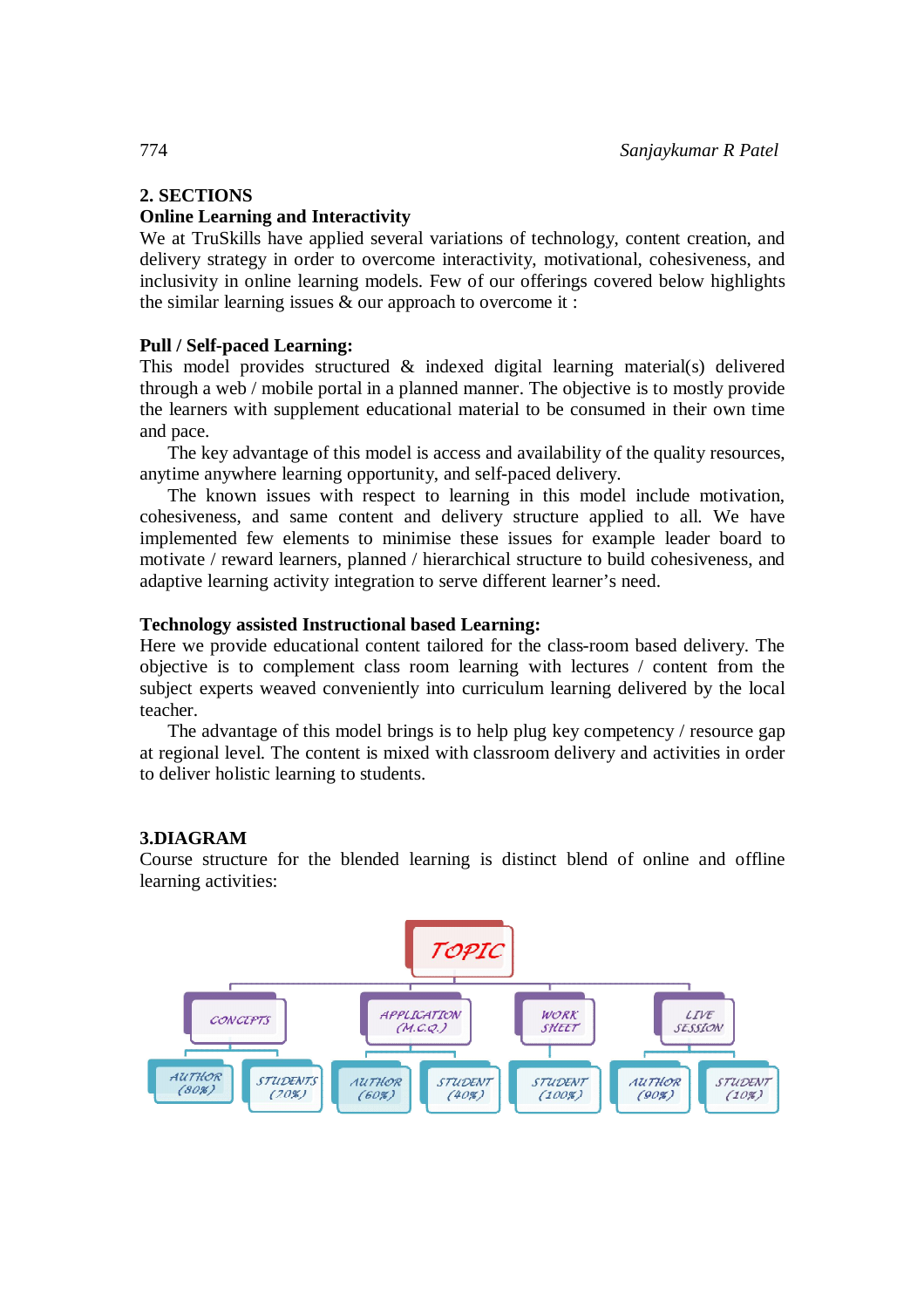# **2. SECTIONS**

## **Online Learning and Interactivity**

We at TruSkills have applied several variations of technology, content creation, and delivery strategy in order to overcome interactivity, motivational, cohesiveness, and inclusivity in online learning models. Few of our offerings covered below highlights the similar learning issues & our approach to overcome it :

# **Pull / Self-paced Learning:**

This model provides structured & indexed digital learning material(s) delivered through a web / mobile portal in a planned manner. The objective is to mostly provide the learners with supplement educational material to be consumed in their own time and pace.

The key advantage of this model is access and availability of the quality resources, anytime anywhere learning opportunity, and self-paced delivery.

The known issues with respect to learning in this model include motivation, cohesiveness, and same content and delivery structure applied to all. We have implemented few elements to minimise these issues for example leader board to motivate / reward learners, planned / hierarchical structure to build cohesiveness, and adaptive learning activity integration to serve different learner's need.

#### **Technology assisted Instructional based Learning:**

Here we provide educational content tailored for the class-room based delivery. The objective is to complement class room learning with lectures / content from the subject experts weaved conveniently into curriculum learning delivered by the local teacher.

The advantage of this model brings is to help plug key competency / resource gap at regional level. The content is mixed with classroom delivery and activities in order to deliver holistic learning to students.

#### **3.DIAGRAM**

Course structure for the blended learning is distinct blend of online and offline learning activities:

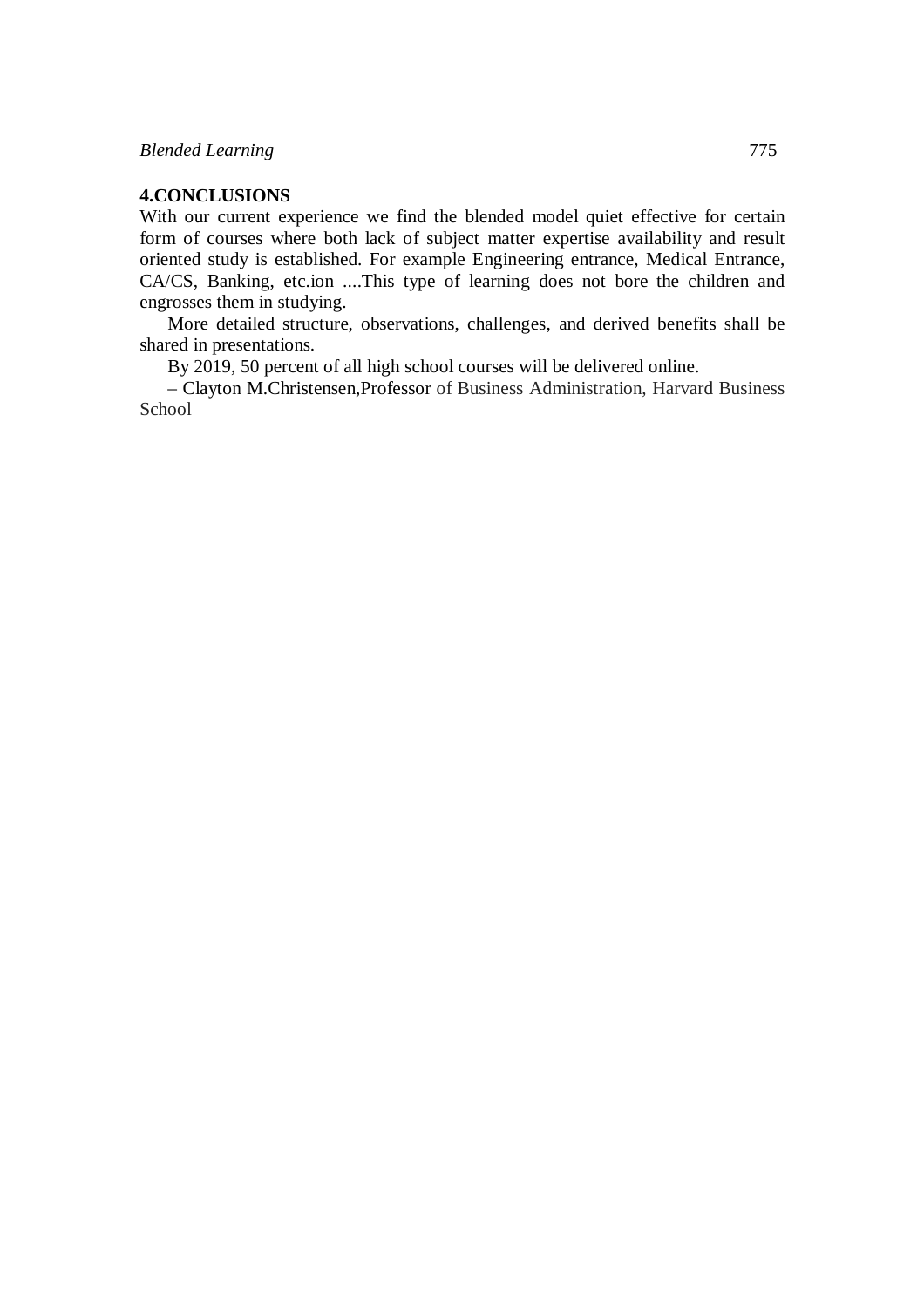## **4.CONCLUSIONS**

With our current experience we find the blended model quiet effective for certain form of courses where both lack of subject matter expertise availability and result oriented study is established. For example Engineering entrance, Medical Entrance, CA/CS, Banking, etc.ion ....This type of learning does not bore the children and engrosses them in studying.

More detailed structure, observations, challenges, and derived benefits shall be shared in presentations.

By 2019, 50 percent of all high school courses will be delivered online.

– Clayton M.Christensen,Professor of Business Administration, Harvard Business School